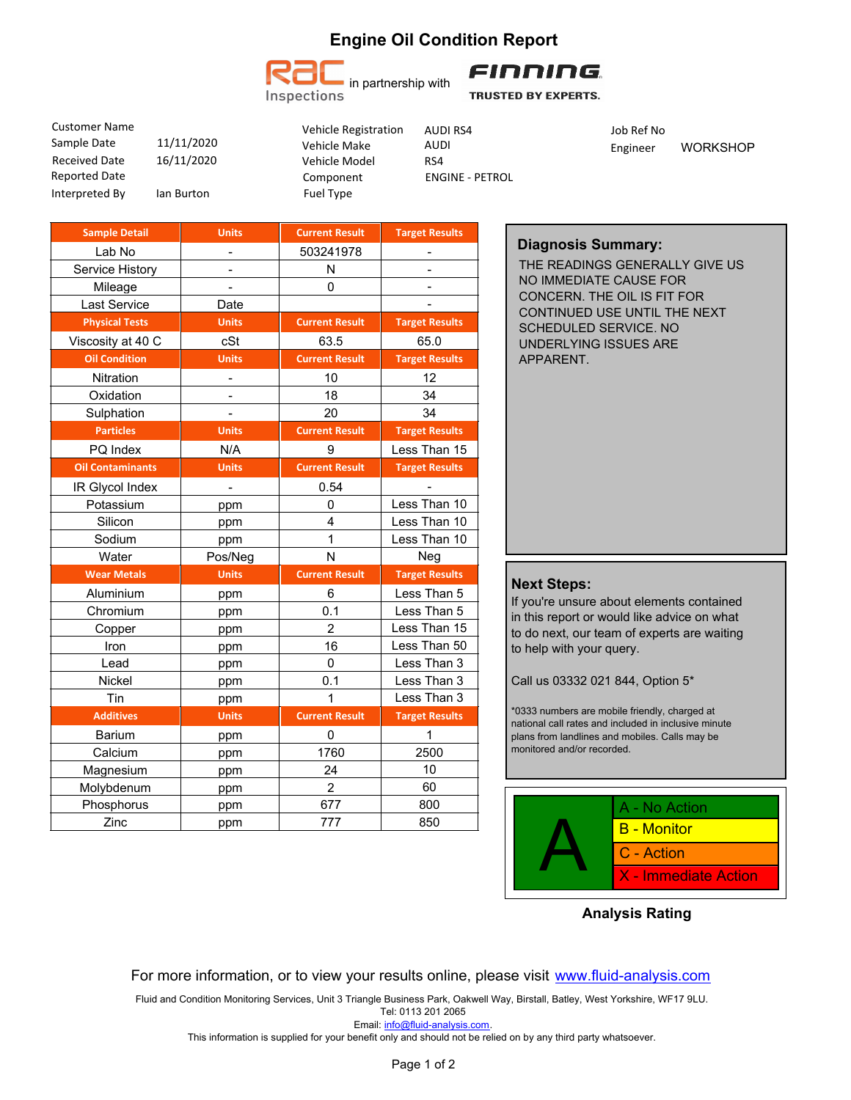# **Engine Oil Condition Report**



FINNING.

**TRUSTED BY EXPERTS.** 

16/11/2020 Sample Date  $11/11/2020$  Vehicle Make AUDI Received Date Interpreted By Ian Burton Reported Date Customer Name

Vehicle Model Component Vehicle Registration AUDI RS4 Manufacturer Manufacturer Job Ref No Fuel Type

ENGINE - PETROL RS4 AUDI RS4

Engineer WORKSHOP

| <b>Sample Detail</b>    | <b>Units</b>             | <b>Current Result</b> | <b>Target Results</b> |
|-------------------------|--------------------------|-----------------------|-----------------------|
| Lab No                  |                          | 503241978             |                       |
| Service History         |                          | N                     |                       |
| Mileage                 |                          | 0                     |                       |
| <b>Last Service</b>     | Date                     |                       |                       |
| <b>Physical Tests</b>   | <b>Units</b>             | <b>Current Result</b> | <b>Target Results</b> |
| Viscosity at 40 C       | cSt                      | 63.5                  | 65.0                  |
| <b>Oil Condition</b>    | <b>Units</b>             | <b>Current Result</b> | <b>Target Results</b> |
| <b>Nitration</b>        | $\overline{\phantom{0}}$ | 10                    | 12                    |
| Oxidation               | $\overline{\phantom{0}}$ | 18                    | 34                    |
| Sulphation              | $\overline{a}$           | 20                    | 34                    |
| <b>Particles</b>        | <b>Units</b>             | <b>Current Result</b> | <b>Target Results</b> |
| PQ Index                | N/A                      | 9                     | Less Than 15          |
| <b>Oil Contaminants</b> | <b>Units</b>             | <b>Current Result</b> | <b>Target Results</b> |
| IR Glycol Index         | $\overline{a}$           | 0.54                  |                       |
| Potassium               | ppm                      | 0                     | Less Than 10          |
| Silicon                 | ppm                      | 4                     | Less Than 10          |
| Sodium                  | ppm                      | $\overline{1}$        | Less Than 10          |
| Water                   | Pos/Neg                  | N                     | Neg                   |
| <b>Wear Metals</b>      | <b>Units</b>             | <b>Current Result</b> | <b>Target Results</b> |
| Aluminium               | ppm                      | 6                     | Less Than 5           |
| Chromium                | ppm                      | 0.1                   | Less Than 5           |
| Copper                  | ppm                      | $\overline{2}$        | Less Than 15          |
| Iron                    | ppm                      | 16                    | Less Than 50          |
| Lead                    | ppm                      | $\mathbf 0$           | Less Than 3           |
| Nickel                  | ppm                      | 0.1                   | Less Than 3           |
| Tin                     | ppm                      | 1                     | Less Than 3           |
| <b>Additives</b>        | <b>Units</b>             | <b>Current Result</b> | <b>Target Results</b> |
| <b>Barium</b>           | ppm                      | 0                     | 1                     |
| Calcium                 | ppm                      | 1760                  | 2500                  |
| Magnesium               | ppm                      | 24                    | 10                    |
| Molybdenum              | ppm                      | $\overline{2}$        | 60                    |
| Phosphorus              | ppm                      | 677                   | 800                   |
| Zinc                    | ppm                      | 777                   | 850                   |

### **Diagnosis Summary:**

THE READINGS GENERALLY GIVE US NO IMMEDIATE CAUSE FOR CONCERN. THE OIL IS FIT FOR CONTINUED USE UNTIL THE NEXT SCHEDULED SERVICE. NO UNDERLYING ISSUES ARE APPARENT.

#### **Next Steps:**

If you're unsure about elements contained in this report or would like advice on what to do next, our team of experts are waiting to help with your query.

Call us 03332 021 844, Option 5\*

\*0333 numbers are mobile friendly, charged at national call rates and included in inclusive minute plans from landlines and mobiles. Calls may be monitored and/or recorded.



**Analysis Rating**

#### For more information, or to view your results online, please visit www.fluid-analysis.com

Fluid and Condition Monitoring Services, Unit 3 Triangle Business Park, Oakwell Way, Birstall, Batley, West Yorkshire, WF17 9LU. Tel: 0113 201 2065

Email: info@fluid-analysis.com.

This information is supplied for your benefit only and should not be relied on by any third party whatsoever.